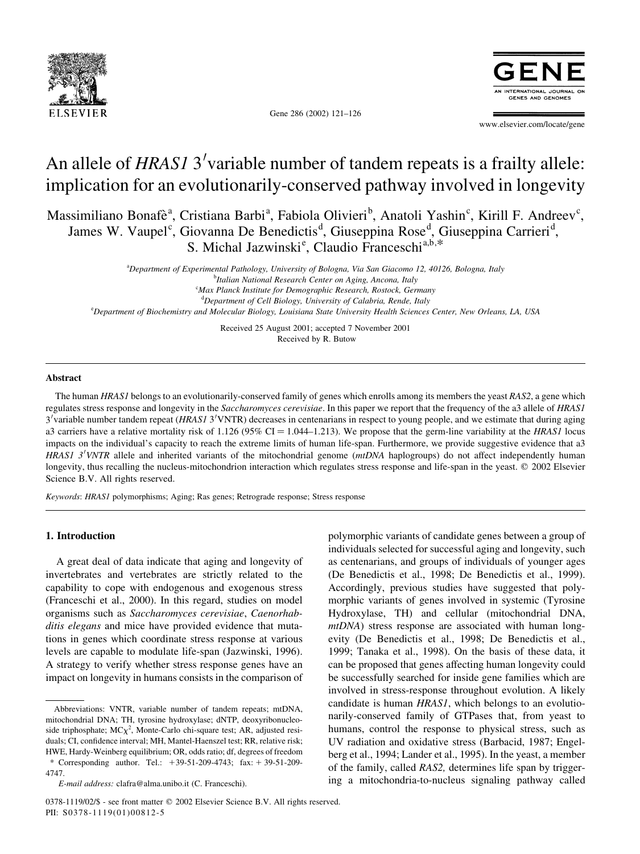

RNATIONAL JOURNAL **GENES AND GENOMES** 

www.elsevier.com/locate/gene

# An allele of HRAS1 3'variable number of tandem repeats is a frailty allele: implication for an evolutionarily-conserved pathway involved in longevity

Gene 286 (2002) 121–126

Massimiliano Bonafè<sup>a</sup>, Cristiana Barbi<sup>a</sup>, Fabiola Olivieri<sup>b</sup>, Anatoli Yashin<sup>c</sup>, Kirill F. Andreev<sup>c</sup>, James W. Vaupel<sup>c</sup>, Giovanna De Benedictis<sup>d</sup>, Giuseppina Rose<sup>d</sup>, Giuseppina Carrieri<sup>d</sup>, S. Michal Jazwinski<sup>e</sup>, Claudio Franceschi<sup>a,b,\*</sup>

a Department of Experimental Pathology, University of Bologna, Via San Giacomo 12, 40126, Bologna, Italy <sup>b</sup>Italian National Research Center on Aging, Ancona, Italy <sup>c</sup>Max Planck Institute for Demographic Research, Rostock, Germany <sup>d</sup>Department of Cell Biology, University of Calabria, Rende, Italy e Department of Biochemistry and Molecular Biology, Louisiana State University Health Sciences Center, New Orleans, LA, USA

> Received 25 August 2001; accepted 7 November 2001 Received by R. Butow

#### Abstract

The human HRAS1 belongs to an evolutionarily-conserved family of genes which enrolls among its members the yeast RAS2, a gene which regulates stress response and longevity in the Saccharomyces cerevisiae. In this paper we report that the frequency of the a3 allele of HRAS1 3<sup>'</sup>variable number tandem repeat (HRAS1 3'VNTR) decreases in centenarians in respect to young people, and we estimate that during aging a3 carriers have a relative mortality risk of  $1.126$  (95% CI = 1.044–1.213). We propose that the germ-line variability at the HRAS1 locus impacts on the individual's capacity to reach the extreme limits of human life-span. Furthermore, we provide suggestive evidence that a3 HRAS1  $3'VNTR$  allele and inherited variants of the mitochondrial genome ( $mtDNA$  haplogroups) do not affect independently human longevity, thus recalling the nucleus-mitochondrion interaction which regulates stress response and life-span in the yeast. © 2002 Elsevier Science B.V. All rights reserved.

Keywords: HRAS1 polymorphisms; Aging; Ras genes; Retrograde response; Stress response

# 1. Introduction

A great deal of data indicate that aging and longevity of invertebrates and vertebrates are strictly related to the capability to cope with endogenous and exogenous stress (Franceschi et al., 2000). In this regard, studies on model organisms such as Saccharomyces cerevisiae, Caenorhabditis elegans and mice have provided evidence that mutations in genes which coordinate stress response at various levels are capable to modulate life-span (Jazwinski, 1996). A strategy to verify whether stress response genes have an impact on longevity in humans consists in the comparison of

\* Corresponding author. Tel.: 139-51-209-4743; fax: 1 39-51-209- 4747.

polymorphic variants of candidate genes between a group of individuals selected for successful aging and longevity, such as centenarians, and groups of individuals of younger ages (De Benedictis et al., 1998; De Benedictis et al., 1999). Accordingly, previous studies have suggested that polymorphic variants of genes involved in systemic (Tyrosine Hydroxylase, TH) and cellular (mitochondrial DNA, mtDNA) stress response are associated with human longevity (De Benedictis et al., 1998; De Benedictis et al., 1999; Tanaka et al., 1998). On the basis of these data, it can be proposed that genes affecting human longevity could be successfully searched for inside gene families which are involved in stress-response throughout evolution. A likely candidate is human HRAS1, which belongs to an evolutionarily-conserved family of GTPases that, from yeast to humans, control the response to physical stress, such as UV radiation and oxidative stress (Barbacid, 1987; Engelberg et al., 1994; Lander et al., 1995). In the yeast, a member of the family, called RAS2, determines life span by triggering a mitochondria-to-nucleus signaling pathway called

Abbreviations: VNTR, variable number of tandem repeats; mtDNA, mitochondrial DNA; TH, tyrosine hydroxylase; dNTP, deoxyribonucleoside triphosphate;  $MC\chi^2$ , Monte-Carlo chi-square test; AR, adjusted residuals; CI, confidence interval; MH, Mantel-Haenszel test; RR, relative risk; HWE, Hardy-Weinberg equilibrium; OR, odds ratio; df, degrees of freedom

E-mail address: clafra@alma.unibo.it (C. Franceschi).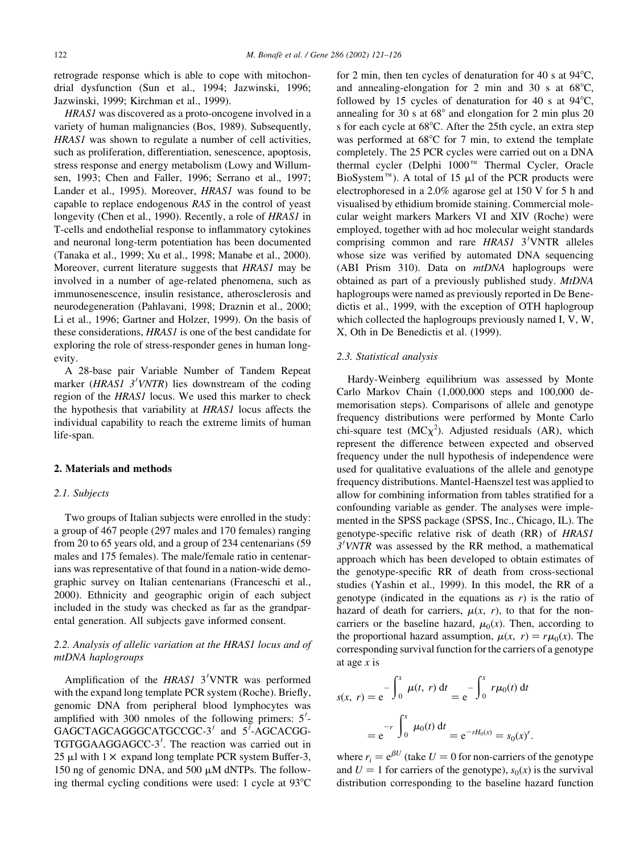retrograde response which is able to cope with mitochondrial dysfunction (Sun et al., 1994; Jazwinski, 1996; Jazwinski, 1999; Kirchman et al., 1999).

HRAS1 was discovered as a proto-oncogene involved in a variety of human malignancies (Bos, 1989). Subsequently, HRAS1 was shown to regulate a number of cell activities, such as proliferation, differentiation, senescence, apoptosis, stress response and energy metabolism (Lowy and Willumsen, 1993; Chen and Faller, 1996; Serrano et al., 1997; Lander et al., 1995). Moreover, HRAS1 was found to be capable to replace endogenous RAS in the control of yeast longevity (Chen et al., 1990). Recently, a role of HRAS1 in T-cells and endothelial response to inflammatory cytokines and neuronal long-term potentiation has been documented (Tanaka et al., 1999; Xu et al., 1998; Manabe et al., 2000). Moreover, current literature suggests that HRAS1 may be involved in a number of age-related phenomena, such as immunosenescence, insulin resistance, atherosclerosis and neurodegeneration (Pahlavani, 1998; Draznin et al., 2000; Li et al., 1996; Gartner and Holzer, 1999). On the basis of these considerations, HRAS1 is one of the best candidate for exploring the role of stress-responder genes in human longevity.

A 28-base pair Variable Number of Tandem Repeat marker ( $HRAS1$  3'VNTR) lies downstream of the coding region of the HRAS1 locus. We used this marker to check the hypothesis that variability at HRAS1 locus affects the individual capability to reach the extreme limits of human life-span.

## 2. Materials and methods

#### 2.1. Subjects

Two groups of Italian subjects were enrolled in the study: a group of 467 people (297 males and 170 females) ranging from 20 to 65 years old, and a group of 234 centenarians (59 males and 175 females). The male/female ratio in centenarians was representative of that found in a nation-wide demographic survey on Italian centenarians (Franceschi et al., 2000). Ethnicity and geographic origin of each subject included in the study was checked as far as the grandparental generation. All subjects gave informed consent.

# 2.2. Analysis of allelic variation at the HRAS1 locus and of mtDNA haplogroups

Amplification of the HRAS1 3'VNTR was performed with the expand long template PCR system (Roche). Briefly, genomic DNA from peripheral blood lymphocytes was amplified with 300 nmoles of the following primers:  $5'$ -GAGCTAGCAGGGCATGCCGC-3' and 5'-AGCACGG-TGTGGAAGGAGCC-3'. The reaction was carried out in 25  $\mu$ l with 1  $\times$  expand long template PCR system Buffer-3, 150 ng of genomic DNA, and 500  $\mu$ M dNTPs. The following thermal cycling conditions were used: 1 cycle at  $93^{\circ}$ C for 2 min, then ten cycles of denaturation for 40 s at  $94^{\circ}$ C, and annealing-elongation for 2 min and 30 s at  $68^{\circ}$ C, followed by 15 cycles of denaturation for 40 s at  $94^{\circ}$ C, annealing for 30 s at  $68^{\circ}$  and elongation for 2 min plus 20 s for each cycle at 68°C. After the 25th cycle, an extra step was performed at  $68^{\circ}$ C for 7 min, to extend the template completely. The 25 PCR cycles were carried out on a DNA thermal cycler (Delphi 1000<sup>TM</sup> Thermal Cycler, Oracle BioSystem<sup>™</sup>). A total of 15  $\mu$ l of the PCR products were electrophoresed in a 2.0% agarose gel at 150 V for 5 h and visualised by ethidium bromide staining. Commercial molecular weight markers Markers VI and XIV (Roche) were employed, together with ad hoc molecular weight standards comprising common and rare HRAS1 3'VNTR alleles whose size was verified by automated DNA sequencing (ABI Prism 310). Data on *mtDNA* haplogroups were obtained as part of a previously published study. MtDNA haplogroups were named as previously reported in De Benedictis et al., 1999, with the exception of OTH haplogroup which collected the haplogroups previously named I, V, W, X, Oth in De Benedictis et al. (1999).

# 2.3. Statistical analysis

Hardy-Weinberg equilibrium was assessed by Monte Carlo Markov Chain (1,000,000 steps and 100,000 dememorisation steps). Comparisons of allele and genotype frequency distributions were performed by Monte Carlo chi-square test  $(MC\chi^2)$ . Adjusted residuals (AR), which represent the difference between expected and observed frequency under the null hypothesis of independence were used for qualitative evaluations of the allele and genotype frequency distributions. Mantel-Haenszel test was applied to allow for combining information from tables stratified for a confounding variable as gender. The analyses were implemented in the SPSS package (SPSS, Inc., Chicago, IL). The genotype-specific relative risk of death (RR) of HRAS1  $3'VNTR$  was assessed by the RR method, a mathematical approach which has been developed to obtain estimates of the genotype-specific RR of death from cross-sectional studies (Yashin et al., 1999). In this model, the RR of a genotype (indicated in the equations as  $r$ ) is the ratio of hazard of death for carriers,  $\mu(x, r)$ , to that for the noncarriers or the baseline hazard,  $\mu_0(x)$ . Then, according to the proportional hazard assumption,  $\mu(x, r) = r\mu_0(x)$ . The corresponding survival function for the carriers of a genotype at age  $x$  is

$$
s(x, r) = e^{-\int_0^x \mu(t, r) dt} = e^{-\int_0^x r \mu_0(t) dt}
$$
  
=  $e^{-r} \int_0^x \mu_0(t) dt = e^{-rH_0(x)} = s_0(x)^r$ .

where  $r_i = e^{\beta U}$  (take  $U = 0$  for non-carriers of the genotype and  $U = 1$  for carriers of the genotype),  $s_0(x)$  is the survival distribution corresponding to the baseline hazard function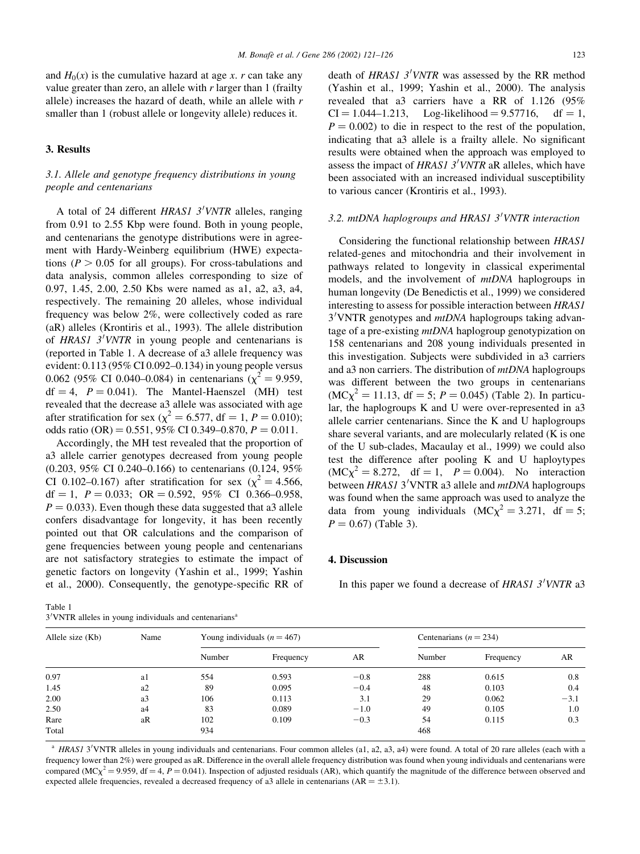and  $H_0(x)$  is the cumulative hazard at age x. r can take any value greater than zero, an allele with  $r$  larger than 1 (frailty allele) increases the hazard of death, while an allele with r smaller than 1 (robust allele or longevity allele) reduces it.

# 3. Results

# 3.1. Allele and genotype frequency distributions in young people and centenarians

A total of 24 different HRAS1 3'VNTR alleles, ranging from 0.91 to 2.55 Kbp were found. Both in young people, and centenarians the genotype distributions were in agreement with Hardy-Weinberg equilibrium (HWE) expectations ( $P > 0.05$  for all groups). For cross-tabulations and data analysis, common alleles corresponding to size of 0.97, 1.45, 2.00, 2.50 Kbs were named as a1, a2, a3, a4, respectively. The remaining 20 alleles, whose individual frequency was below 2%, were collectively coded as rare (aR) alleles (Krontiris et al., 1993). The allele distribution of HRAS1  $3'$ VNTR in young people and centenarians is (reported in Table 1. A decrease of a3 allele frequency was evident: 0.113 (95% CI 0.092–0.134) in young people versus 0.062 (95% CI 0.040–0.084) in centenarians ( $\chi^2 = 9.959$ ,  $df = 4$ ,  $P = 0.041$ . The Mantel-Haenszel (MH) test revealed that the decrease a3 allele was associated with age after stratification for sex ( $\chi^2 = 6.577$ , df = 1, P = 0.010); odds ratio (OR) =  $0.551$ , 95% CI 0.349-0.870,  $P = 0.011$ .

Accordingly, the MH test revealed that the proportion of a3 allele carrier genotypes decreased from young people (0.203, 95% CI 0.240–0.166) to centenarians (0.124, 95% CI 0.102–0.167) after stratification for sex ( $\chi^2 = 4.566$ ,  $df = 1$ ,  $P = 0.033$ ;  $OR = 0.592$ ,  $95\%$  CI 0.366-0.958,  $P = 0.033$ ). Even though these data suggested that a3 allele confers disadvantage for longevity, it has been recently pointed out that OR calculations and the comparison of gene frequencies between young people and centenarians are not satisfactory strategies to estimate the impact of genetic factors on longevity (Yashin et al., 1999; Yashin et al., 2000). Consequently, the genotype-specific RR of

death of HRAS1  $3'VNTR$  was assessed by the RR method (Yashin et al., 1999; Yashin et al., 2000). The analysis revealed that a3 carriers have a RR of 1.126 (95%  $CI = 1.044 - 1.213$ , Log-likelihood = 9.57716, df = 1,  $P = 0.002$ ) to die in respect to the rest of the population, indicating that a3 allele is a frailty allele. No significant results were obtained when the approach was employed to assess the impact of HRAS1  $3'V\overline{NTR}$  aR alleles, which have been associated with an increased individual susceptibility to various cancer (Krontiris et al., 1993).

# 3.2. mtDNA haplogroups and HRAS1 3'VNTR interaction

Considering the functional relationship between HRAS1 related-genes and mitochondria and their involvement in pathways related to longevity in classical experimental models, and the involvement of mtDNA haplogroups in human longevity (De Benedictis et al., 1999) we considered interesting to assess for possible interaction between HRAS1 3'VNTR genotypes and mtDNA haplogroups taking advantage of a pre-existing *mtDNA* haplogroup genotypization on 158 centenarians and 208 young individuals presented in this investigation. Subjects were subdivided in a3 carriers and a3 non carriers. The distribution of mtDNA haplogroups was different between the two groups in centenarians  $(MC\chi^2 = 11.13, df = 5; P = 0.045)$  (Table 2). In particular, the haplogroups K and U were over-represented in a3 allele carrier centenarians. Since the K and U haplogroups share several variants, and are molecularly related (K is one of the U sub-clades, Macaulay et al., 1999) we could also test the difference after pooling K and U haploytypes  $(MC\chi^2 = 8.272, \text{ df} = 1, P = 0.004).$  No interaction between HRAS1 3'VNTR a3 allele and mtDNA haplogroups was found when the same approach was used to analyze the data from young individuals  $(MC\chi^2 = 3.271, df = 5;$  $P = 0.67$ ) (Table 3).

#### 4. Discussion

In this paper we found a decrease of HRAS1 3'VNTR a3

Table 1

 $3'$ VNTR alleles in young individuals and centenarians<sup>a</sup>

| Allele size (Kb) | Name           |        | Young individuals $(n = 467)$ |        |        | Centenarians $(n = 234)$ |        |  |
|------------------|----------------|--------|-------------------------------|--------|--------|--------------------------|--------|--|
|                  |                | Number | Frequency                     | AR     | Number | Frequency                | AR     |  |
| 0.97             | a1             | 554    | 0.593                         | $-0.8$ | 288    | 0.615                    | 0.8    |  |
| 1.45             | a2             | 89     | 0.095                         | $-0.4$ | 48     | 0.103                    | 0.4    |  |
| 2.00             | a <sub>3</sub> | 106    | 0.113                         | 3.1    | 29     | 0.062                    | $-3.1$ |  |
| 2.50             | a4             | 83     | 0.089                         | $-1.0$ | 49     | 0.105                    | 1.0    |  |
| Rare             | aR             | 102    | 0.109                         | $-0.3$ | 54     | 0.115                    | 0.3    |  |
| Total            |                | 934    |                               |        | 468    |                          |        |  |

 $A$  HRAS1 3<sup>'</sup>VNTR alleles in young individuals and centenarians. Four common alleles (a1, a2, a3, a4) were found. A total of 20 rare alleles (each with a frequency lower than 2%) were grouped as aR. Difference in the overall allele frequency distribution was found when young individuals and centenarians were compared (MC $\chi^2$  = 9.959, df = 4, P = 0.041). Inspection of adjusted residuals (AR), which quantify the magnitude of the difference between observed and expected allele frequencies, revealed a decreased frequency of a3 allele in centenarians ( $AR = \pm 3.1$ ).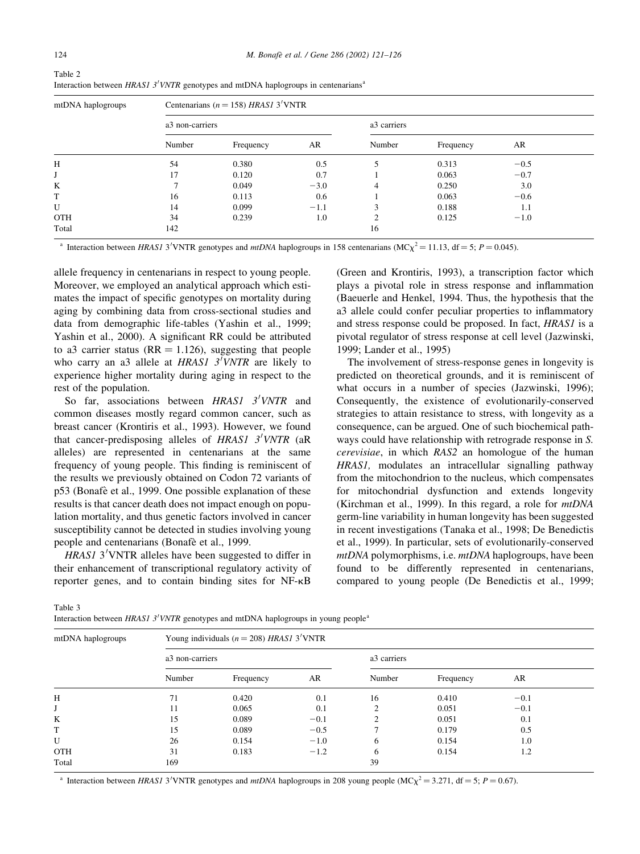| mtDNA haplogroups | Centenarians ( $n = 158$ ) HRAS1 3'VNTR |           |        |               |           |        |  |  |
|-------------------|-----------------------------------------|-----------|--------|---------------|-----------|--------|--|--|
|                   | a3 non-carriers                         |           |        | a3 carriers   |           |        |  |  |
|                   | Number                                  | Frequency | AR     | Number        | Frequency | AR     |  |  |
| H                 | 54                                      | 0.380     | 0.5    | 5             | 0.313     | $-0.5$ |  |  |
|                   | 17                                      | 0.120     | 0.7    |               | 0.063     | $-0.7$ |  |  |
| K                 | ⇁                                       | 0.049     | $-3.0$ | 4             | 0.250     | 3.0    |  |  |
| T                 | 16                                      | 0.113     | 0.6    |               | 0.063     | $-0.6$ |  |  |
| U                 | 14                                      | 0.099     | $-1.1$ | 3             | 0.188     | 1.1    |  |  |
| <b>OTH</b>        | 34                                      | 0.239     | 1.0    | $\mathcal{L}$ | 0.125     | $-1.0$ |  |  |
| Total             | 142                                     |           |        | 16            |           |        |  |  |

Table 2 Interaction between HRAS1 3'VNTR genotypes and mtDNA haplogroups in centenarians<sup>a</sup>

<sup>a</sup> Interaction between HRAS1 3'VNTR genotypes and *mtDNA* haplogroups in 158 centenarians (MC $\chi^2$  = 11.13, df = 5; P = 0.045).

allele frequency in centenarians in respect to young people. Moreover, we employed an analytical approach which estimates the impact of specific genotypes on mortality during aging by combining data from cross-sectional studies and data from demographic life-tables (Yashin et al., 1999; Yashin et al., 2000). A significant RR could be attributed to a3 carrier status ( $RR = 1.126$ ), suggesting that people who carry an a3 allele at  $HRASI$  3<sup>T</sup>VNTR are likely to experience higher mortality during aging in respect to the rest of the population.

So far, associations between  $HRAS1$   $3'VNTR$  and common diseases mostly regard common cancer, such as breast cancer (Krontiris et al., 1993). However, we found that cancer-predisposing alleles of  $HRAS1$   $3'VNTR$  (aR alleles) are represented in centenarians at the same frequency of young people. This finding is reminiscent of the results we previously obtained on Codon 72 variants of p53 (Bonafè et al., 1999. One possible explanation of these results is that cancer death does not impact enough on population mortality, and thus genetic factors involved in cancer susceptibility cannot be detected in studies involving young people and centenarians (Bonafè et al., 1999.

 $HRASI$  3<sup>'</sup>VNTR alleles have been suggested to differ in their enhancement of transcriptional regulatory activity of reporter genes, and to contain binding sites for NF-kB (Green and Krontiris, 1993), a transcription factor which plays a pivotal role in stress response and inflammation (Baeuerle and Henkel, 1994. Thus, the hypothesis that the a3 allele could confer peculiar properties to inflammatory and stress response could be proposed. In fact, HRAS1 is a pivotal regulator of stress response at cell level (Jazwinski, 1999; Lander et al., 1995)

The involvement of stress-response genes in longevity is predicted on theoretical grounds, and it is reminiscent of what occurs in a number of species (Jazwinski, 1996); Consequently, the existence of evolutionarily-conserved strategies to attain resistance to stress, with longevity as a consequence, can be argued. One of such biochemical pathways could have relationship with retrograde response in S. cerevisiae, in which RAS2 an homologue of the human HRAS1, modulates an intracellular signalling pathway from the mitochondrion to the nucleus, which compensates for mitochondrial dysfunction and extends longevity (Kirchman et al., 1999). In this regard, a role for mtDNA germ-line variability in human longevity has been suggested in recent investigations (Tanaka et al., 1998; De Benedictis et al., 1999). In particular, sets of evolutionarily-conserved mtDNA polymorphisms, i.e. *mtDNA* haplogroups, have been found to be differently represented in centenarians, compared to young people (De Benedictis et al., 1999;

Table 3

Interaction between *HRAS1 3'VNTR* genotypes and mtDNA haplogroups in young people<sup>a</sup>

| mtDNA haplogroups | Young individuals ( $n = 208$ ) HRASI 3'VNTR |           |        |               |           |        |  |  |
|-------------------|----------------------------------------------|-----------|--------|---------------|-----------|--------|--|--|
|                   | a3 non-carriers                              |           |        | a3 carriers   |           |        |  |  |
|                   | Number                                       | Frequency | AR     | Number        | Frequency | AR     |  |  |
| Η                 | 71                                           | 0.420     | 0.1    | 16            | 0.410     | $-0.1$ |  |  |
|                   | 11                                           | 0.065     | 0.1    | $\Omega$      | 0.051     | $-0.1$ |  |  |
| K                 | 15                                           | 0.089     | $-0.1$ | $\mathcal{L}$ | 0.051     | 0.1    |  |  |
| T                 | 15                                           | 0.089     | $-0.5$ | $\mathcal{L}$ | 0.179     | 0.5    |  |  |
| U                 | 26                                           | 0.154     | $-1.0$ | 6             | 0.154     | 1.0    |  |  |
| <b>OTH</b>        | 31                                           | 0.183     | $-1.2$ | 6             | 0.154     | 1.2    |  |  |
| Total             | 169                                          |           |        | 39            |           |        |  |  |

<sup>a</sup> Interaction between HRAS1 3'VNTR genotypes and *mtDNA* haplogroups in 208 young people (MC $\chi^2$  = 3.271, df = 5; P = 0.67).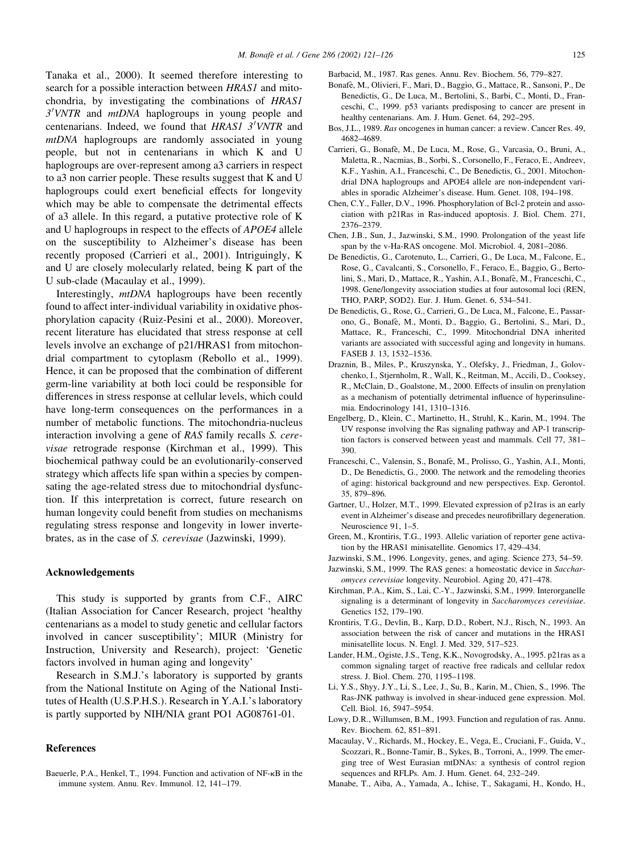Tanaka et al., 2000). It seemed therefore interesting to search for a possible interaction between HRAS1 and mitochondria, by investigating the combinations of HRAS1 3'VNTR and mtDNA haplogroups in young people and centenarians. Indeed, we found that HRASI  $3^7$ VNTR and mtDNA haplogroups are randomly associated in young people, but not in centenarians in which K and U haplogroups are over-represent among a3 carriers in respect to a3 non carrier people. These results suggest that K and U haplogroups could exert beneficial effects for longevity which may be able to compensate the detrimental effects of a3 allele. In this regard, a putative protective role of K and U haplogroups in respect to the effects of APOE4 allele on the susceptibility to Alzheimer's disease has been recently proposed (Carrieri et al., 2001). Intriguingly, K and U are closely molecularly related, being K part of the U sub-clade (Macaulay et al., 1999).

Interestingly, mtDNA haplogroups have been recently found to affect inter-individual variability in oxidative phosphorylation capacity (Ruiz-Pesini et al., 2000). Moreover, recent literature has elucidated that stress response at cell levels involve an exchange of p21/HRAS1 from mitochondrial compartment to cytoplasm (Rebollo et al., 1999). Hence, it can be proposed that the combination of different germ-line variability at both loci could be responsible for differences in stress response at cellular levels, which could have long-term consequences on the performances in a number of metabolic functions. The mitochondria-nucleus interaction involving a gene of RAS family recalls S. cerevisae retrograde response (Kirchman et al., 1999). This biochemical pathway could be an evolutionarily-conserved strategy which affects life span within a species by compensating the age-related stress due to mitochondrial dysfunction. If this interpretation is correct, future research on human longevity could benefit from studies on mechanisms regulating stress response and longevity in lower invertebrates, as in the case of S. cerevisae (Jazwinski, 1999).

#### Acknowledgements

This study is supported by grants from C.F., AIRC (Italian Association for Cancer Research, project 'healthy centenarians as a model to study genetic and cellular factors involved in cancer susceptibility'; MIUR (Ministry for Instruction, University and Research), project: 'Genetic factors involved in human aging and longevity'

Research in S.M.J.'s laboratory is supported by grants from the National Institute on Aging of the National Institutes of Health (U.S.P.H.S.). Research in Y.A.I.'s laboratory is partly supported by NIH/NIA grant PO1 AG08761-01.

## References

Baeuerle, P.A., Henkel, T., 1994. Function and activation of NF- $\kappa$ B in the immune system. Annu. Rev. Immunol. 12, 141–179.

Barbacid, M., 1987. Ras genes. Annu. Rev. Biochem. 56, 779–827.

- Bonafè, M., Olivieri, F., Mari, D., Baggio, G., Mattace, R., Sansoni, P., De Benedictis, G., De Luca, M., Bertolini, S., Barbi, C., Monti, D., Franceschi, C., 1999. p53 variants predisposing to cancer are present in healthy centenarians. Am. J. Hum. Genet. 64, 292–295.
- Bos, J.L., 1989. Ras oncogenes in human cancer: a review. Cancer Res. 49, 4682–4689.
- Carrieri, G., Bonafè, M., De Luca, M., Rose, G., Varcasia, O., Bruni, A., Maletta, R., Nacmias, B., Sorbi, S., Corsonello, F., Feraco, E., Andreev, K.F., Yashin, A.I., Franceschi, C., De Benedictis, G., 2001. Mitochondrial DNA haplogroups and APOE4 allele are non-independent variables in sporadic Alzheimer's disease. Hum. Genet. 108, 194–198.
- Chen, C.Y., Faller, D.V., 1996. Phosphorylation of Bcl-2 protein and association with p21Ras in Ras-induced apoptosis. J. Biol. Chem. 271, 2376–2379.
- Chen, J.B., Sun, J., Jazwinski, S.M., 1990. Prolongation of the yeast life span by the v-Ha-RAS oncogene. Mol. Microbiol. 4, 2081–2086.
- De Benedictis, G., Carotenuto, L., Carrieri, G., De Luca, M., Falcone, E., Rose, G., Cavalcanti, S., Corsonello, F., Feraco, E., Baggio, G., Bertolini, S., Mari, D., Mattace, R., Yashin, A.I., Bonafè, M., Franceschi, C., 1998. Gene/longevity association studies at four autosomal loci (REN, THO, PARP, SOD2). Eur. J. Hum. Genet. 6, 534–541.
- De Benedictis, G., Rose, G., Carrieri, G., De Luca, M., Falcone, E., Passarono, G., Bonafe`, M., Monti, D., Baggio, G., Bertolini, S., Mari, D., Mattace, R., Franceschi, C., 1999. Mitochondrial DNA inherited variants are associated with successful aging and longevity in humans. FASEB J. 13, 1532–1536.
- Draznin, B., Miles, P., Kruszynska, Y., Olefsky, J., Friedman, J., Golovchenko, I., Stjernholm, R., Wall, K., Reitman, M., Accili, D., Cooksey, R., McClain, D., Goalstone, M., 2000. Effects of insulin on prenylation as a mechanism of potentially detrimental influence of hyperinsulinemia. Endocrinology 141, 1310–1316.
- Engelberg, D., Klein, C., Martinetto, H., Struhl, K., Karin, M., 1994. The UV response involving the Ras signaling pathway and AP-1 transcription factors is conserved between yeast and mammals. Cell 77, 381– 390.
- Franceschi, C., Valensin, S., Bonafè, M., Prolisso, G., Yashin, A.I., Monti, D., De Benedictis, G., 2000. The network and the remodeling theories of aging: historical background and new perspectives. Exp. Gerontol. 35, 879–896.
- Gartner, U., Holzer, M.T., 1999. Elevated expression of p21ras is an early event in Alzheimer's disease and precedes neurofibrillary degeneration. Neuroscience 91, 1–5.
- Green, M., Krontiris, T.G., 1993. Allelic variation of reporter gene activation by the HRAS1 minisatellite. Genomics 17, 429–434.
- Jazwinski, S.M., 1996. Longevity, genes, and aging. Science 273, 54–59.
- Jazwinski, S.M., 1999. The RAS genes: a homeostatic device in Saccharomyces cerevisiae longevity. Neurobiol. Aging 20, 471–478.
- Kirchman, P.A., Kim, S., Lai, C.-Y., Jazwinski, S.M., 1999. Interorganelle signaling is a determinant of longevity in Saccharomyces cerevisiae. Genetics 152, 179–190.
- Krontiris, T.G., Devlin, B., Karp, D.D., Robert, N.J., Risch, N., 1993. An association between the risk of cancer and mutations in the HRAS1 minisatellite locus. N. Engl. J. Med. 329, 517–523.
- Lander, H.M., Ogiste, J.S., Teng, K.K., Novogrodsky, A., 1995. p21ras as a common signaling target of reactive free radicals and cellular redox stress. J. Biol. Chem. 270, 1195–1198.
- Li, Y.S., Shyy, J.Y., Li, S., Lee, J., Su, B., Karin, M., Chien, S., 1996. The Ras-JNK pathway is involved in shear-induced gene expression. Mol. Cell. Biol. 16, 5947–5954.
- Lowy, D.R., Willumsen, B.M., 1993. Function and regulation of ras. Annu. Rev. Biochem. 62, 851–891.
- Macaulay, V., Richards, M., Hockey, E., Vega, E., Cruciani, F., Guida, V., Scozzari, R., Bonne-Tamir, B., Sykes, B., Torroni, A., 1999. The emerging tree of West Eurasian mtDNAs: a synthesis of control region sequences and RFLPs. Am. J. Hum. Genet. 64, 232–249.
- Manabe, T., Aiba, A., Yamada, A., Ichise, T., Sakagami, H., Kondo, H.,